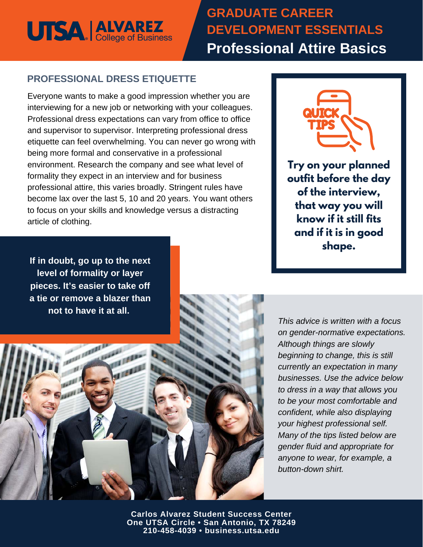## **GRADUATE CAREER DEVELOPMENT ESSENTIALS Professional Attire Basics**

### **PROFESSIONAL DRESS ETIQUETTE**

Everyone wants to make a good impression whether you are interviewing for a new job or networking with your colleagues. Professional dress expectations can vary from office to office and supervisor to supervisor. Interpreting professional dress etiquette can feel overwhelming. You can never go wrong with being more formal and conservative in a professional environment. Research the company and see what level of formality they expect in an interview and for business professional attire, this varies broadly. Stringent rules have become lax over the last 5, 10 and 20 years. You want others to focus on your skills and knowledge versus a distracting article of clothing.



**Try on your planned outfit before the day of the interview, that way you will know if it still fits and if it is in good shape.**

**If in doubt, go up to the next level of formality or layer pieces. It's easier to take off a tie or remove a blazer than not to have it at all.**

*This advice is written with a focus on gender-normative expectations. Although things are slowly beginning to change, this is still currently an expectation in many businesses. Use the advice below to dress in a way that allows you to be your most comfortable and confident, while also displaying your highest professional self. Many of the tips listed below are gender fluid and appropriate for anyone to wear, for example, a button-down shirt.*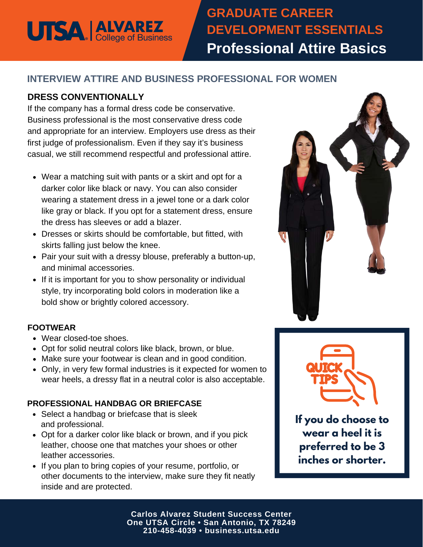## **GRADUATE CAREER DEVELOPMENT ESSENTIALS Professional Attire Basics**

### **INTERVIEW ATTIRE AND BUSINESS PROFESSIONAL FOR WOMEN**

#### **DRESS CONVENTIONALLY**

If the company has a formal dress code be conservative. Business professional is the most conservative dress code and appropriate for an interview. Employers use dress as their first judge of professionalism. Even if they say it's business casual, we still recommend respectful and professional attire.

- Wear a matching suit with pants or a skirt and opt for a darker color like black or navy. You can also consider wearing a statement dress in a jewel tone or a dark color like gray or black. If you opt for a statement dress, ensure the dress has sleeves or add a blazer.
- Dresses or skirts should be comfortable, but fitted, with skirts falling just below the knee.
- Pair your suit with a dressy blouse, preferably a button-up, and minimal accessories.
- If it is important for you to show personality or individual style, try incorporating bold colors in moderation like a bold show or brightly colored accessory.

#### **FOOTWEAR**

- Wear closed-toe shoes.
- Opt for solid neutral colors like black, brown, or blue.
- Make sure your footwear is clean and in good condition.
- Only, in very few formal industries is it expected for women to wear heels, a dressy flat in a neutral color is also acceptable.

#### **PROFESSIONAL HANDBAG OR BRIEFCASE**

- Select a handbag or briefcase that is sleek and professional.
- Opt for a darker color like black or brown, and if you pick leather, choose one that matches your shoes or other leather accessories.
- If you plan to bring copies of your resume, portfolio, or other documents to the interview, make sure they fit neatly inside and are protected.





**If you do choose to wear a heel it is preferred to be 3 inches or shorter.**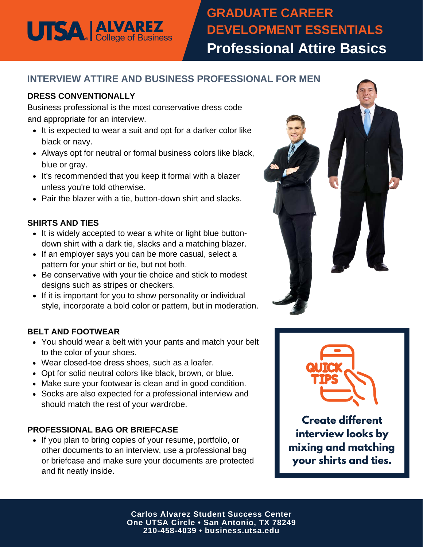## **GRADUATE CAREER DEVELOPMENT ESSENTIALS Professional Attire Basics**

### **INTERVIEW ATTIRE AND BUSINESS PROFESSIONAL FOR MEN**

#### **DRESS CONVENTIONALLY**

Business professional is the most conservative dress code and appropriate for an interview.

- It is expected to wear a suit and opt for a darker color like black or navy.
- Always opt for neutral or formal business colors like black, blue or gray.
- It's recommended that you keep it formal with a blazer unless you're told otherwise.
- Pair the blazer with a tie, button-down shirt and slacks.

#### **SHIRTS AND TIES**

- It is widely accepted to wear a white or light blue buttondown shirt with a dark tie, slacks and a matching blazer.
- If an employer says you can be more casual, select a pattern for your shirt or tie, but not both.
- Be conservative with your tie choice and stick to modest designs such as stripes or checkers.
- If it is important for you to show personality or individual style, incorporate a bold color or pattern, but in moderation.

#### **BELT AND FOOTWEAR**

- You should wear a belt with your pants and match your belt to the color of your shoes.
- Wear closed-toe dress shoes, such as a loafer.
- Opt for solid neutral colors like black, brown, or blue.
- Make sure your footwear is clean and in good condition.
- Socks are also expected for a professional interview and should match the rest of your wardrobe.

#### **PROFESSIONAL BAG OR BRIEFCASE**

• If you plan to bring copies of your resume, portfolio, or other documents to an interview, use a professional bag or briefcase and make sure your documents are protected and fit neatly inside.





**Create different interview looks by mixing and matching your shirts and ties.**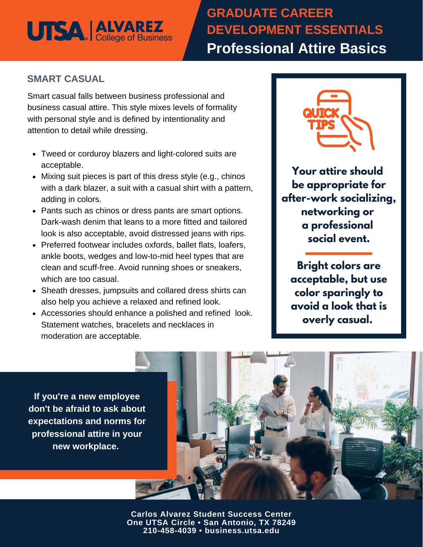## **GRADUATE CAREER DEVELOPMENT ESSENTIALS Professional Attire Basics**

### **SMART CASUAL**

Smart casual falls between business professional and business casual attire. This style mixes levels of formality with personal style and is defined by intentionality and attention to detail while dressing.

- Tweed or corduroy blazers and light-colored suits are acceptable.
- Mixing suit pieces is part of this dress style (e.g., chinos with a dark blazer, a suit with a casual shirt with a pattern, adding in colors.
- Pants such as chinos or dress pants are smart options. Dark-wash denim that leans to a more fitted and tailored look is also acceptable, avoid distressed jeans with rips.
- Preferred footwear includes oxfords, ballet flats, loafers, ankle boots, wedges and low-to-mid heel types that are clean and scuff-free. Avoid running shoes or sneakers, which are too casual.
- Sheath dresses, jumpsuits and collared dress shirts can also help you achieve a relaxed and refined look.
- Accessories should enhance a polished and refined look. Statement watches, bracelets and necklaces in moderation are acceptable.



**Your attire should be appropriate for after-work socializing, networking or a professional social event.**

**Bright colors are acceptable, but use color sparingly to avoid a look that is overly casual.**

**If you're a new employee don't be afraid to ask about expectations and norms for professional attire in your new workplace.**

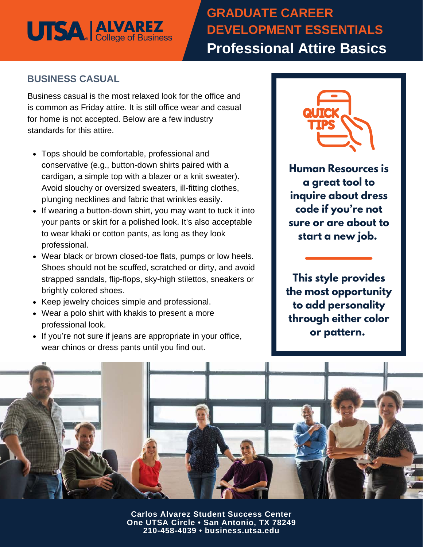## **GRADUATE CAREER DEVELOPMENT ESSENTIALS Professional Attire Basics**

### **BUSINESS CASUAL**

Business casual is the most relaxed look for the office and is common as Friday attire. It is still office wear and casual for home is not accepted. Below are a few industry standards for this attire.

- Tops should be comfortable, professional and conservative (e.g., button-down shirts paired with a cardigan, a simple top with a blazer or a knit sweater). Avoid slouchy or oversized sweaters, ill-fitting clothes, plunging necklines and fabric that wrinkles easily.
- If wearing a button-down shirt, you may want to tuck it into your pants or skirt for a polished look. It's also acceptable to wear khaki or cotton pants, as long as they look professional.
- Wear black or brown closed-toe flats, pumps or low heels. Shoes should not be scuffed, scratched or dirty, and avoid strapped sandals, flip-flops, sky-high stilettos, sneakers or brightly colored shoes.
- Keep jewelry choices simple and professional.
- Wear a polo shirt with khakis to present a more professional look.
- If you're not sure if jeans are appropriate in your office, wear chinos or dress pants until you find out.



**Human Resources is a great tool to inquire about dress code if you're not sure or are about to start a new job.**

**This style provides the most opportunity to add personality through either color or pattern.**